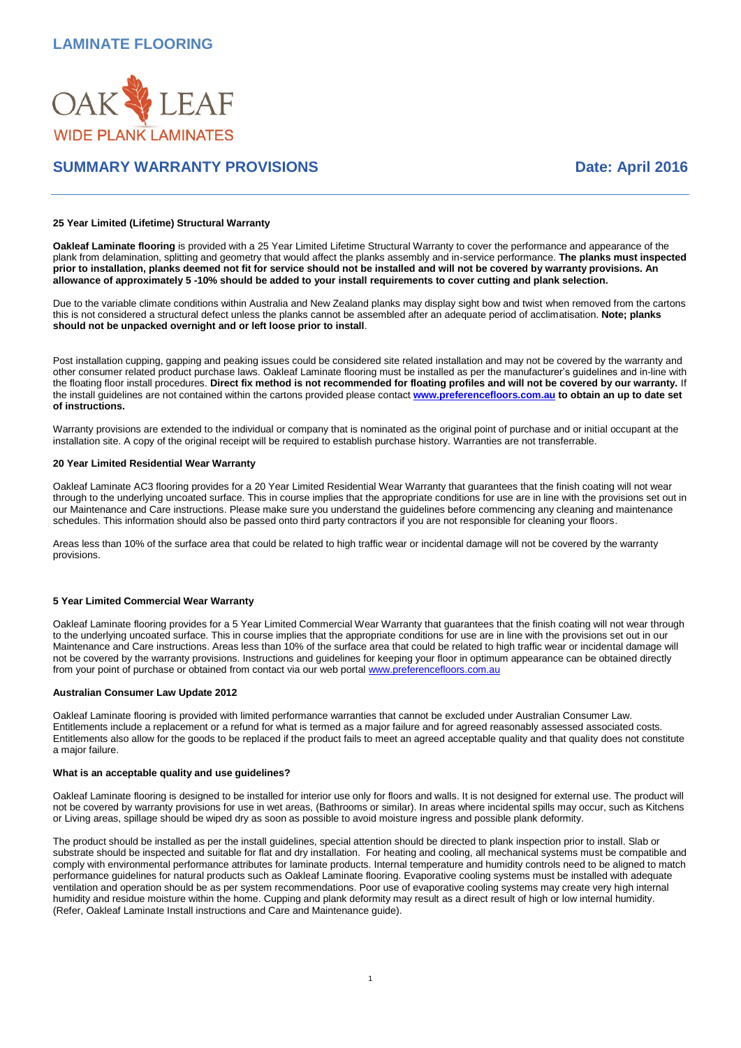

# **SUMMARY WARRANTY PROVISIONS Date: April 2016**

# **25 Year Limited (Lifetime) Structural Warranty**

**Oakleaf Laminate flooring** is provided with a 25 Year Limited Lifetime Structural Warranty to cover the performance and appearance of the plank from delamination, splitting and geometry that would affect the planks assembly and in-service performance. **The planks must inspected prior to installation, planks deemed not fit for service should not be installed and will not be covered by warranty provisions. An allowance of approximately 5 -10% should be added to your install requirements to cover cutting and plank selection.**

Due to the variable climate conditions within Australia and New Zealand planks may display sight bow and twist when removed from the cartons this is not considered a structural defect unless the planks cannot be assembled after an adequate period of acclimatisation. **Note; planks should not be unpacked overnight and or left loose prior to install**.

Post installation cupping, gapping and peaking issues could be considered site related installation and may not be covered by the warranty and other consumer related product purchase laws. Oakleaf Laminate flooring must be installed as per the manufacturer's guidelines and in-line with the floating floor install procedures. **Direct fix method is not recommended for floating profiles and will not be covered by our warranty.** If the install guidelines are not contained within the cartons provided please contact **[www.preferencefloors.com.au](http://www.preferencefloors.com.au/) to obtain an up to date set of instructions.**

Warranty provisions are extended to the individual or company that is nominated as the original point of purchase and or initial occupant at the installation site. A copy of the original receipt will be required to establish purchase history. Warranties are not transferrable.

# **20 Year Limited Residential Wear Warranty**

Oakleaf Laminate AC3 flooring provides for a 20 Year Limited Residential Wear Warranty that guarantees that the finish coating will not wear through to the underlying uncoated surface. This in course implies that the appropriate conditions for use are in line with the provisions set out in our Maintenance and Care instructions. Please make sure you understand the guidelines before commencing any cleaning and maintenance schedules. This information should also be passed onto third party contractors if you are not responsible for cleaning your floors.

Areas less than 10% of the surface area that could be related to high traffic wear or incidental damage will not be covered by the warranty provisions.

# **5 Year Limited Commercial Wear Warranty**

Oakleaf Laminate flooring provides for a 5 Year Limited Commercial Wear Warranty that guarantees that the finish coating will not wear through to the underlying uncoated surface. This in course implies that the appropriate conditions for use are in line with the provisions set out in our Maintenance and Care instructions. Areas less than 10% of the surface area that could be related to high traffic wear or incidental damage will not be covered by the warranty provisions. Instructions and guidelines for keeping your floor in optimum appearance can be obtained directly from your point of purchase or obtained from contact via our web portal [www.preferencefloors.com.au](http://www.preferencefloors.com.au/)

#### **Australian Consumer Law Update 2012**

Oakleaf Laminate flooring is provided with limited performance warranties that cannot be excluded under Australian Consumer Law. Entitlements include a replacement or a refund for what is termed as a major failure and for agreed reasonably assessed associated costs. Entitlements also allow for the goods to be replaced if the product fails to meet an agreed acceptable quality and that quality does not constitute a major failure.

### **What is an acceptable quality and use guidelines?**

Oakleaf Laminate flooring is designed to be installed for interior use only for floors and walls. It is not designed for external use. The product will not be covered by warranty provisions for use in wet areas, (Bathrooms or similar). In areas where incidental spills may occur, such as Kitchens or Living areas, spillage should be wiped dry as soon as possible to avoid moisture ingress and possible plank deformity.

The product should be installed as per the install guidelines, special attention should be directed to plank inspection prior to install. Slab or substrate should be inspected and suitable for flat and dry installation. For heating and cooling, all mechanical systems must be compatible and comply with environmental performance attributes for laminate products. Internal temperature and humidity controls need to be aligned to match performance guidelines for natural products such as Oakleaf Laminate flooring. Evaporative cooling systems must be installed with adequate ventilation and operation should be as per system recommendations. Poor use of evaporative cooling systems may create very high internal humidity and residue moisture within the home. Cupping and plank deformity may result as a direct result of high or low internal humidity. (Refer, Oakleaf Laminate Install instructions and Care and Maintenance guide).